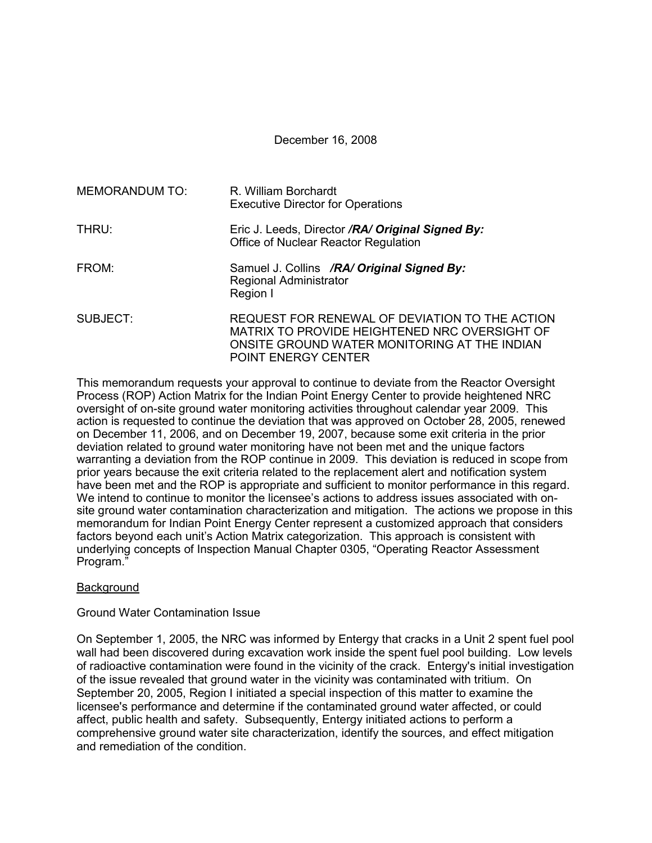December 16, 2008

| MEMORANDUM TO: | R. William Borchardt<br><b>Executive Director for Operations</b>                                                                                                              |
|----------------|-------------------------------------------------------------------------------------------------------------------------------------------------------------------------------|
| THRU:          | Eric J. Leeds, Director /RA/ Original Signed By:<br>Office of Nuclear Reactor Regulation                                                                                      |
| FROM:          | Samuel J. Collins /RA/ Original Signed By:<br>Regional Administrator<br>Region I                                                                                              |
| SUBJECT:       | REQUEST FOR RENEWAL OF DEVIATION TO THE ACTION<br>MATRIX TO PROVIDE HEIGHTENED NRC OVERSIGHT OF<br>ONSITE GROUND WATER MONITORING AT THE INDIAN<br><b>POINT ENERGY CENTER</b> |

This memorandum requests your approval to continue to deviate from the Reactor Oversight Process (ROP) Action Matrix for the Indian Point Energy Center to provide heightened NRC oversight of on-site ground water monitoring activities throughout calendar year 2009. This action is requested to continue the deviation that was approved on October 28, 2005, renewed on December 11, 2006, and on December 19, 2007, because some exit criteria in the prior deviation related to ground water monitoring have not been met and the unique factors warranting a deviation from the ROP continue in 2009. This deviation is reduced in scope from prior years because the exit criteria related to the replacement alert and notification system have been met and the ROP is appropriate and sufficient to monitor performance in this regard. We intend to continue to monitor the licensee's actions to address issues associated with onsite ground water contamination characterization and mitigation. The actions we propose in this memorandum for Indian Point Energy Center represent a customized approach that considers factors beyond each unit's Action Matrix categorization. This approach is consistent with underlying concepts of Inspection Manual Chapter 0305, "Operating Reactor Assessment Program."

# **Background**

# Ground Water Contamination Issue

On September 1, 2005, the NRC was informed by Entergy that cracks in a Unit 2 spent fuel pool wall had been discovered during excavation work inside the spent fuel pool building. Low levels of radioactive contamination were found in the vicinity of the crack. Entergy's initial investigation of the issue revealed that ground water in the vicinity was contaminated with tritium. On September 20, 2005, Region I initiated a special inspection of this matter to examine the licensee's performance and determine if the contaminated ground water affected, or could affect, public health and safety. Subsequently, Entergy initiated actions to perform a comprehensive ground water site characterization, identify the sources, and effect mitigation and remediation of the condition.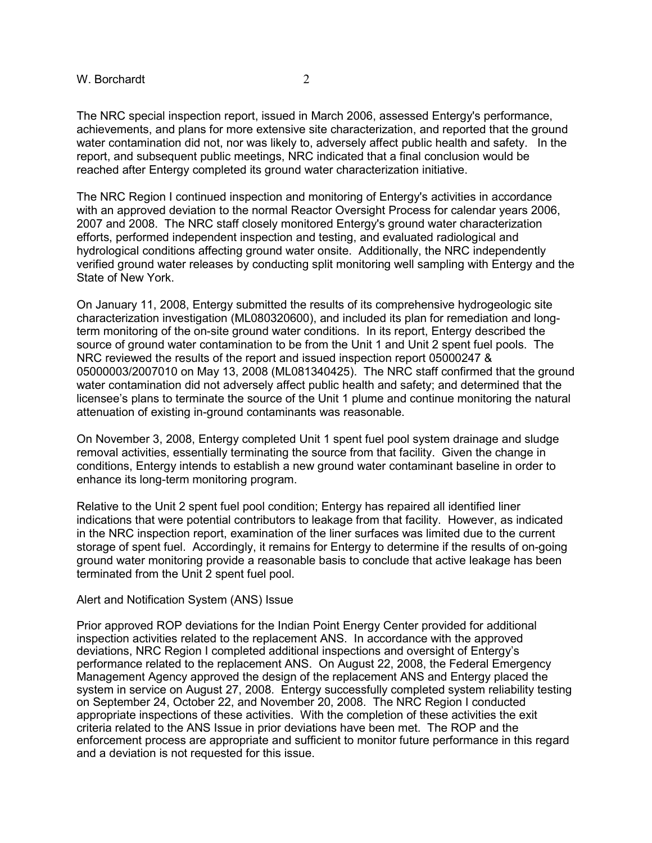The NRC special inspection report, issued in March 2006, assessed Entergy's performance, achievements, and plans for more extensive site characterization, and reported that the ground water contamination did not, nor was likely to, adversely affect public health and safety. In the report, and subsequent public meetings, NRC indicated that a final conclusion would be reached after Entergy completed its ground water characterization initiative.

The NRC Region I continued inspection and monitoring of Entergy's activities in accordance with an approved deviation to the normal Reactor Oversight Process for calendar years 2006, 2007 and 2008. The NRC staff closely monitored Entergy's ground water characterization efforts, performed independent inspection and testing, and evaluated radiological and hydrological conditions affecting ground water onsite. Additionally, the NRC independently verified ground water releases by conducting split monitoring well sampling with Entergy and the State of New York.

On January 11, 2008, Entergy submitted the results of its comprehensive hydrogeologic site characterization investigation (ML080320600), and included its plan for remediation and longterm monitoring of the on-site ground water conditions. In its report, Entergy described the source of ground water contamination to be from the Unit 1 and Unit 2 spent fuel pools. The NRC reviewed the results of the report and issued inspection report 05000247 & 05000003/2007010 on May 13, 2008 (ML081340425). The NRC staff confirmed that the ground water contamination did not adversely affect public health and safety; and determined that the licensee's plans to terminate the source of the Unit 1 plume and continue monitoring the natural attenuation of existing in-ground contaminants was reasonable.

On November 3, 2008, Entergy completed Unit 1 spent fuel pool system drainage and sludge removal activities, essentially terminating the source from that facility. Given the change in conditions, Entergy intends to establish a new ground water contaminant baseline in order to enhance its long-term monitoring program.

Relative to the Unit 2 spent fuel pool condition; Entergy has repaired all identified liner indications that were potential contributors to leakage from that facility. However, as indicated in the NRC inspection report, examination of the liner surfaces was limited due to the current storage of spent fuel. Accordingly, it remains for Entergy to determine if the results of on-going ground water monitoring provide a reasonable basis to conclude that active leakage has been terminated from the Unit 2 spent fuel pool.

#### Alert and Notification System (ANS) Issue

Prior approved ROP deviations for the Indian Point Energy Center provided for additional inspection activities related to the replacement ANS. In accordance with the approved deviations, NRC Region I completed additional inspections and oversight of Entergy's performance related to the replacement ANS. On August 22, 2008, the Federal Emergency Management Agency approved the design of the replacement ANS and Entergy placed the system in service on August 27, 2008. Entergy successfully completed system reliability testing on September 24, October 22, and November 20, 2008. The NRC Region I conducted appropriate inspections of these activities. With the completion of these activities the exit criteria related to the ANS Issue in prior deviations have been met. The ROP and the enforcement process are appropriate and sufficient to monitor future performance in this regard and a deviation is not requested for this issue.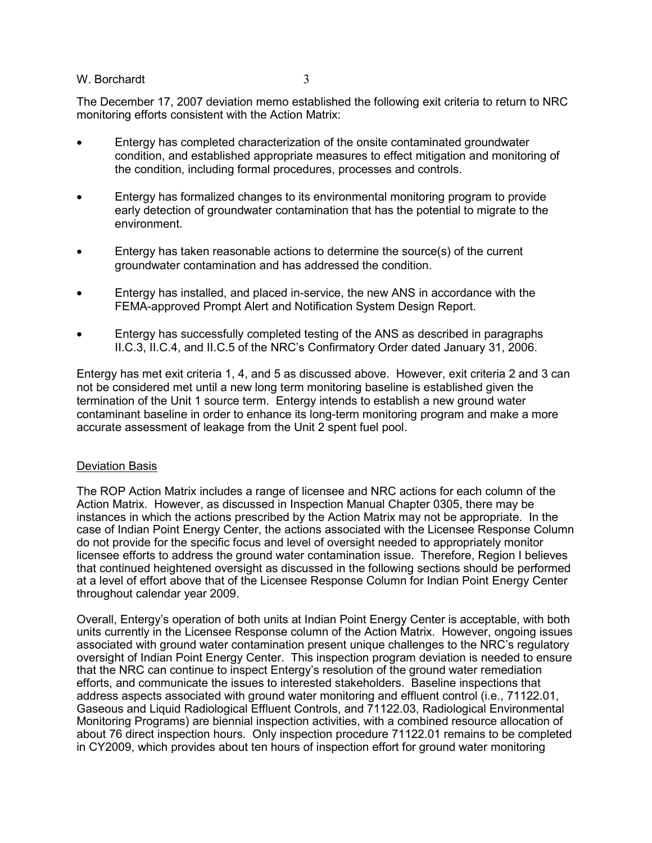The December 17, 2007 deviation memo established the following exit criteria to return to NRC monitoring efforts consistent with the Action Matrix:

- Entergy has completed characterization of the onsite contaminated groundwater condition, and established appropriate measures to effect mitigation and monitoring of the condition, including formal procedures, processes and controls.
- Entergy has formalized changes to its environmental monitoring program to provide early detection of groundwater contamination that has the potential to migrate to the environment.
- Entergy has taken reasonable actions to determine the source(s) of the current groundwater contamination and has addressed the condition.
- Entergy has installed, and placed in-service, the new ANS in accordance with the FEMA-approved Prompt Alert and Notification System Design Report.
- Entergy has successfully completed testing of the ANS as described in paragraphs II.C.3, II.C.4, and II.C.5 of the NRC's Confirmatory Order dated January 31, 2006.

Entergy has met exit criteria 1, 4, and 5 as discussed above. However, exit criteria 2 and 3 can not be considered met until a new long term monitoring baseline is established given the termination of the Unit 1 source term. Entergy intends to establish a new ground water contaminant baseline in order to enhance its long-term monitoring program and make a more accurate assessment of leakage from the Unit 2 spent fuel pool.

# Deviation Basis

The ROP Action Matrix includes a range of licensee and NRC actions for each column of the Action Matrix. However, as discussed in Inspection Manual Chapter 0305, there may be instances in which the actions prescribed by the Action Matrix may not be appropriate. In the case of Indian Point Energy Center, the actions associated with the Licensee Response Column do not provide for the specific focus and level of oversight needed to appropriately monitor licensee efforts to address the ground water contamination issue. Therefore, Region I believes that continued heightened oversight as discussed in the following sections should be performed at a level of effort above that of the Licensee Response Column for Indian Point Energy Center throughout calendar year 2009.

Overall, Entergy's operation of both units at Indian Point Energy Center is acceptable, with both units currently in the Licensee Response column of the Action Matrix. However, ongoing issues associated with ground water contamination present unique challenges to the NRC's regulatory oversight of Indian Point Energy Center. This inspection program deviation is needed to ensure that the NRC can continue to inspect Entergy's resolution of the ground water remediation efforts, and communicate the issues to interested stakeholders. Baseline inspections that address aspects associated with ground water monitoring and effluent control (i.e., 71122.01, Gaseous and Liquid Radiological Effluent Controls, and 71122.03, Radiological Environmental Monitoring Programs) are biennial inspection activities, with a combined resource allocation of about 76 direct inspection hours. Only inspection procedure 71122.01 remains to be completed in CY2009, which provides about ten hours of inspection effort for ground water monitoring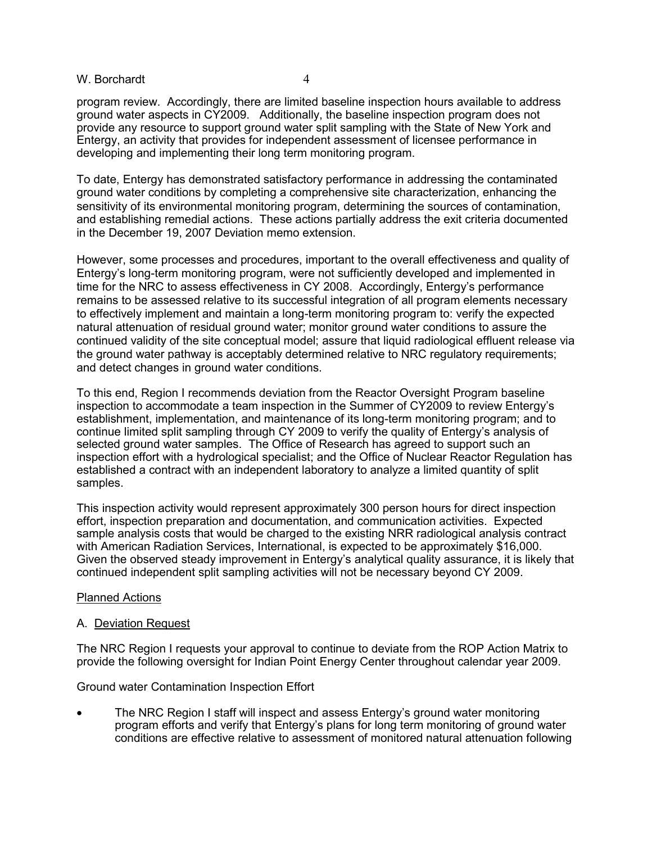program review. Accordingly, there are limited baseline inspection hours available to address ground water aspects in CY2009. Additionally, the baseline inspection program does not provide any resource to support ground water split sampling with the State of New York and Entergy, an activity that provides for independent assessment of licensee performance in developing and implementing their long term monitoring program.

To date, Entergy has demonstrated satisfactory performance in addressing the contaminated ground water conditions by completing a comprehensive site characterization, enhancing the sensitivity of its environmental monitoring program, determining the sources of contamination, and establishing remedial actions. These actions partially address the exit criteria documented in the December 19, 2007 Deviation memo extension.

However, some processes and procedures, important to the overall effectiveness and quality of Entergy's long-term monitoring program, were not sufficiently developed and implemented in time for the NRC to assess effectiveness in CY 2008. Accordingly, Entergy's performance remains to be assessed relative to its successful integration of all program elements necessary to effectively implement and maintain a long-term monitoring program to: verify the expected natural attenuation of residual ground water; monitor ground water conditions to assure the continued validity of the site conceptual model; assure that liquid radiological effluent release via the ground water pathway is acceptably determined relative to NRC regulatory requirements; and detect changes in ground water conditions.

To this end, Region I recommends deviation from the Reactor Oversight Program baseline inspection to accommodate a team inspection in the Summer of CY2009 to review Entergy's establishment, implementation, and maintenance of its long-term monitoring program; and to continue limited split sampling through CY 2009 to verify the quality of Entergy's analysis of selected ground water samples. The Office of Research has agreed to support such an inspection effort with a hydrological specialist; and the Office of Nuclear Reactor Regulation has established a contract with an independent laboratory to analyze a limited quantity of split samples.

This inspection activity would represent approximately 300 person hours for direct inspection effort, inspection preparation and documentation, and communication activities. Expected sample analysis costs that would be charged to the existing NRR radiological analysis contract with American Radiation Services, International, is expected to be approximately \$16,000. Given the observed steady improvement in Entergy's analytical quality assurance, it is likely that continued independent split sampling activities will not be necessary beyond CY 2009.

# Planned Actions

# A. Deviation Request

The NRC Region I requests your approval to continue to deviate from the ROP Action Matrix to provide the following oversight for Indian Point Energy Center throughout calendar year 2009.

Ground water Contamination Inspection Effort

• The NRC Region I staff will inspect and assess Entergy's ground water monitoring program efforts and verify that Entergy's plans for long term monitoring of ground water conditions are effective relative to assessment of monitored natural attenuation following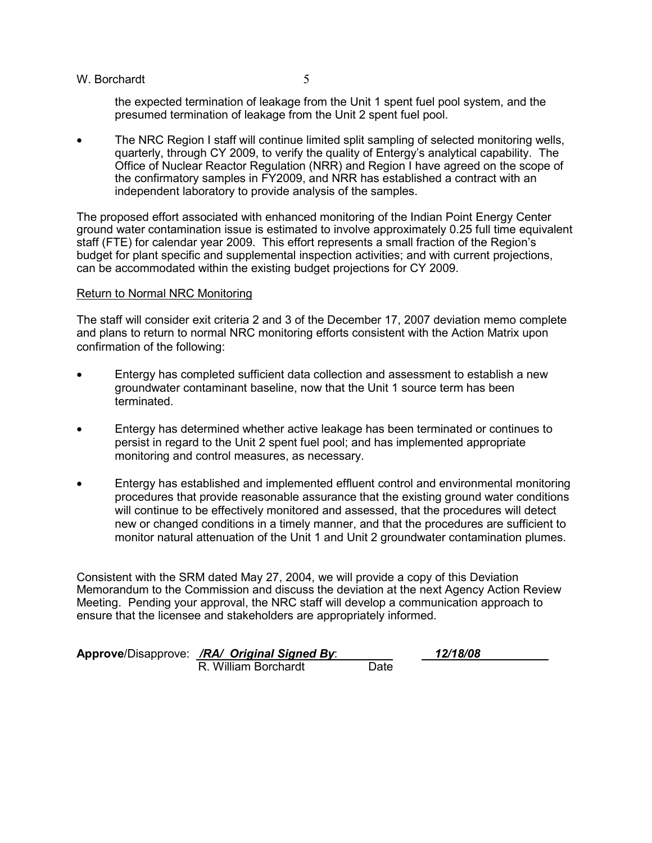the expected termination of leakage from the Unit 1 spent fuel pool system, and the presumed termination of leakage from the Unit 2 spent fuel pool.

• The NRC Region I staff will continue limited split sampling of selected monitoring wells, quarterly, through CY 2009, to verify the quality of Entergy's analytical capability. The Office of Nuclear Reactor Regulation (NRR) and Region I have agreed on the scope of the confirmatory samples in FY2009, and NRR has established a contract with an independent laboratory to provide analysis of the samples.

The proposed effort associated with enhanced monitoring of the Indian Point Energy Center ground water contamination issue is estimated to involve approximately 0.25 full time equivalent staff (FTE) for calendar year 2009. This effort represents a small fraction of the Region's budget for plant specific and supplemental inspection activities; and with current projections, can be accommodated within the existing budget projections for CY 2009.

### Return to Normal NRC Monitoring

The staff will consider exit criteria 2 and 3 of the December 17, 2007 deviation memo complete and plans to return to normal NRC monitoring efforts consistent with the Action Matrix upon confirmation of the following:

- Entergy has completed sufficient data collection and assessment to establish a new groundwater contaminant baseline, now that the Unit 1 source term has been terminated.
- Entergy has determined whether active leakage has been terminated or continues to persist in regard to the Unit 2 spent fuel pool; and has implemented appropriate monitoring and control measures, as necessary.
- Entergy has established and implemented effluent control and environmental monitoring procedures that provide reasonable assurance that the existing ground water conditions will continue to be effectively monitored and assessed, that the procedures will detect new or changed conditions in a timely manner, and that the procedures are sufficient to monitor natural attenuation of the Unit 1 and Unit 2 groundwater contamination plumes.

Consistent with the SRM dated May 27, 2004, we will provide a copy of this Deviation Memorandum to the Commission and discuss the deviation at the next Agency Action Review Meeting. Pending your approval, the NRC staff will develop a communication approach to ensure that the licensee and stakeholders are appropriately informed.

| Approve/Disapprove: /RA/ Original Signed By: |      | 12/18/08 |
|----------------------------------------------|------|----------|
| R. William Borchardt                         | Date |          |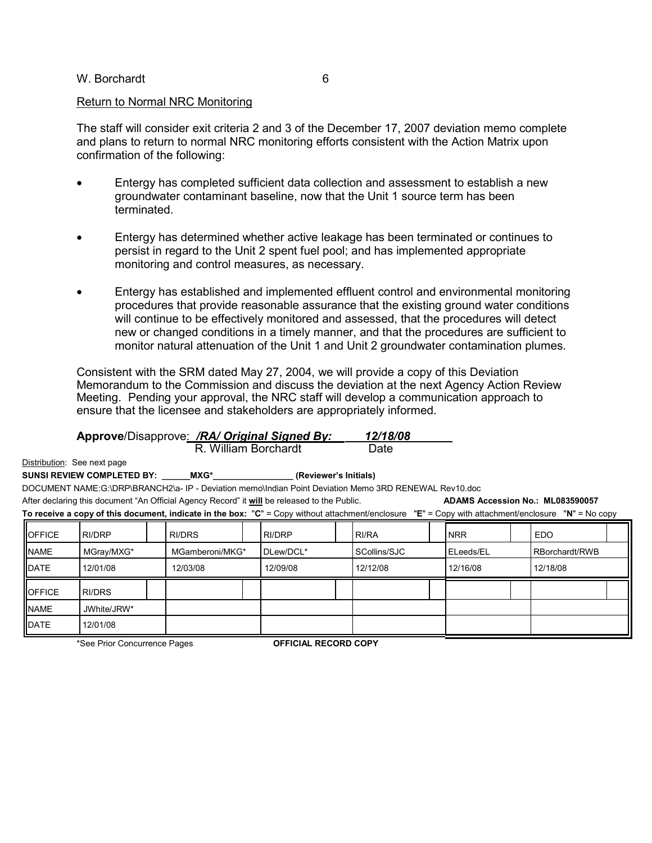#### Return to Normal NRC Monitoring

The staff will consider exit criteria 2 and 3 of the December 17, 2007 deviation memo complete and plans to return to normal NRC monitoring efforts consistent with the Action Matrix upon confirmation of the following:

- Entergy has completed sufficient data collection and assessment to establish a new groundwater contaminant baseline, now that the Unit 1 source term has been terminated.
- Entergy has determined whether active leakage has been terminated or continues to persist in regard to the Unit 2 spent fuel pool; and has implemented appropriate monitoring and control measures, as necessary.
- Entergy has established and implemented effluent control and environmental monitoring procedures that provide reasonable assurance that the existing ground water conditions will continue to be effectively monitored and assessed, that the procedures will detect new or changed conditions in a timely manner, and that the procedures are sufficient to monitor natural attenuation of the Unit 1 and Unit 2 groundwater contamination plumes.

Consistent with the SRM dated May 27, 2004, we will provide a copy of this Deviation Memorandum to the Commission and discuss the deviation at the next Agency Action Review Meeting. Pending your approval, the NRC staff will develop a communication approach to ensure that the licensee and stakeholders are appropriately informed.

| <b>Approve/Disapprove: /RA/ Original Signed By:</b><br>R. William Borchardt                                                                         |             |  |                 |  |           |  | 12/18/08<br>Date |  |            |  |                |  |
|-----------------------------------------------------------------------------------------------------------------------------------------------------|-------------|--|-----------------|--|-----------|--|------------------|--|------------|--|----------------|--|
| Distribution: See next page                                                                                                                         |             |  |                 |  |           |  |                  |  |            |  |                |  |
| SUNSI REVIEW COMPLETED BY: MXG* (Reviewer's Initials)                                                                                               |             |  |                 |  |           |  |                  |  |            |  |                |  |
| DOCUMENT NAME:G:\DRP\BRANCH2\a-IP - Deviation memo\Indian Point Deviation Memo 3RD RENEWAL Rev10.doc                                                |             |  |                 |  |           |  |                  |  |            |  |                |  |
| After declaring this document "An Official Agency Record" it will be released to the Public.<br>ADAMS Accession No.: ML083590057                    |             |  |                 |  |           |  |                  |  |            |  |                |  |
| To receive a copy of this document, indicate in the box: "C" = Copy without attachment/enclosure "E" = Copy with attachment/enclosure "N" = No copy |             |  |                 |  |           |  |                  |  |            |  |                |  |
| <b>OFFICE</b>                                                                                                                                       | RI/DRP      |  | RI/DRS          |  | RI/DRP    |  | RI/RA            |  | <b>NRR</b> |  | <b>EDO</b>     |  |
| <b>NAME</b>                                                                                                                                         | MGray/MXG*  |  | MGamberoni/MKG* |  | DLew/DCL* |  | SCollins/SJC     |  | ELeeds/EL  |  | RBorchardt/RWB |  |
| <b>IDATE</b>                                                                                                                                        | 12/01/08    |  | 12/03/08        |  | 12/09/08  |  | 12/12/08         |  | 12/16/08   |  | 12/18/08       |  |
| <b>OFFICE</b>                                                                                                                                       | RI/DRS      |  |                 |  |           |  |                  |  |            |  |                |  |
| <b>NAME</b>                                                                                                                                         | JWhite/JRW* |  |                 |  |           |  |                  |  |            |  |                |  |
| DATE                                                                                                                                                | 12/01/08    |  |                 |  |           |  |                  |  |            |  |                |  |

\*See Prior Concurrence Pages **OFFICIAL RECORD COPY**